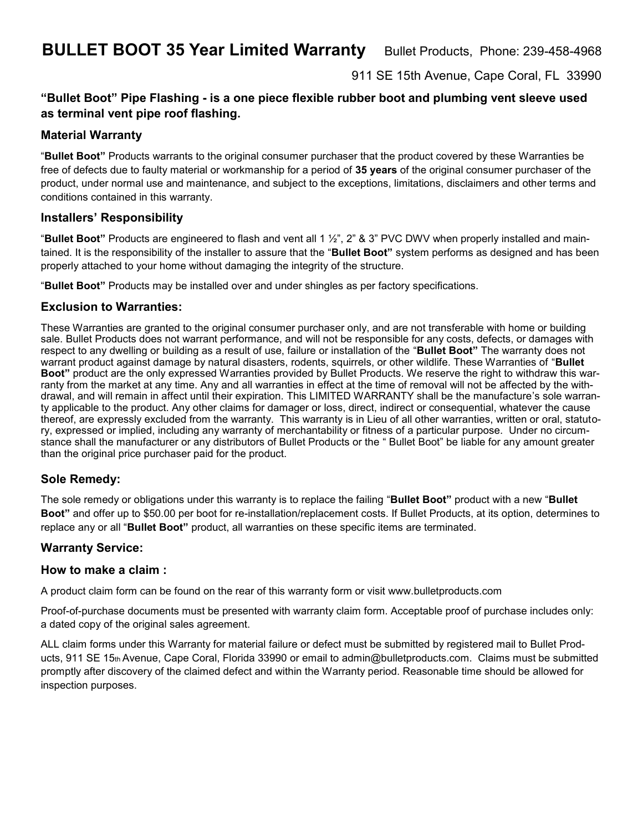**BULLET BOOT 35 Year Limited Warranty** Bullet Products, Phone: 239-458-4968

911 SE 15th Avenue, Cape Coral, FL 33990

## **"Bullet Boot" Pipe Flashing - is a one piece flexible rubber boot and plumbing vent sleeve used as terminal vent pipe roof flashing.**

### **Material Warranty**

"**Bullet Boot"** Products warrants to the original consumer purchaser that the product covered by these Warranties be free of defects due to faulty material or workmanship for a period of **35 years** of the original consumer purchaser of the product, under normal use and maintenance, and subject to the exceptions, limitations, disclaimers and other terms and conditions contained in this warranty.

#### **Installers' Responsibility**

"**Bullet Boot"** Products are engineered to flash and vent all 1 ½", 2" & 3" PVC DWV when properly installed and maintained. It is the responsibility of the installer to assure that the "**Bullet Boot"** system performs as designed and has been properly attached to your home without damaging the integrity of the structure.

"**Bullet Boot"** Products may be installed over and under shingles as per factory specifications.

#### **Exclusion to Warranties:**

These Warranties are granted to the original consumer purchaser only, and are not transferable with home or building sale. Bullet Products does not warrant performance, and will not be responsible for any costs, defects, or damages with respect to any dwelling or building as a result of use, failure or installation of the "**Bullet Boot"** The warranty does not warrant product against damage by natural disasters, rodents, squirrels, or other wildlife. These Warranties of "**Bullet Boot"** product are the only expressed Warranties provided by Bullet Products. We reserve the right to withdraw this warranty from the market at any time. Any and all warranties in effect at the time of removal will not be affected by the withdrawal, and will remain in affect until their expiration. This LIMITED WARRANTY shall be the manufacture's sole warranty applicable to the product. Any other claims for damager or loss, direct, indirect or consequential, whatever the cause thereof, are expressly excluded from the warranty. This warranty is in Lieu of all other warranties, written or oral, statutory, expressed or implied, including any warranty of merchantability or fitness of a particular purpose. Under no circumstance shall the manufacturer or any distributors of Bullet Products or the " Bullet Boot" be liable for any amount greater than the original price purchaser paid for the product.

### **Sole Remedy:**

The sole remedy or obligations under this warranty is to replace the failing "**Bullet Boot"** product with a new "**Bullet Boot"** and offer up to \$50.00 per boot for re-installation/replacement costs. If Bullet Products, at its option, determines to replace any or all "**Bullet Boot"** product, all warranties on these specific items are terminated.

### **Warranty Service:**

#### **How to make a claim :**

A product claim form can be found on the rear of this warranty form or visit www.bulletproducts.com

Proof-of-purchase documents must be presented with warranty claim form. Acceptable proof of purchase includes only: a dated copy of the original sales agreement.

ALL claim forms under this Warranty for material failure or defect must be submitted by registered mail to Bullet Products, 911 SE 15th Avenue, Cape Coral, Florida 33990 or email to admin@bulletproducts.com. Claims must be submitted promptly after discovery of the claimed defect and within the Warranty period. Reasonable time should be allowed for inspection purposes.